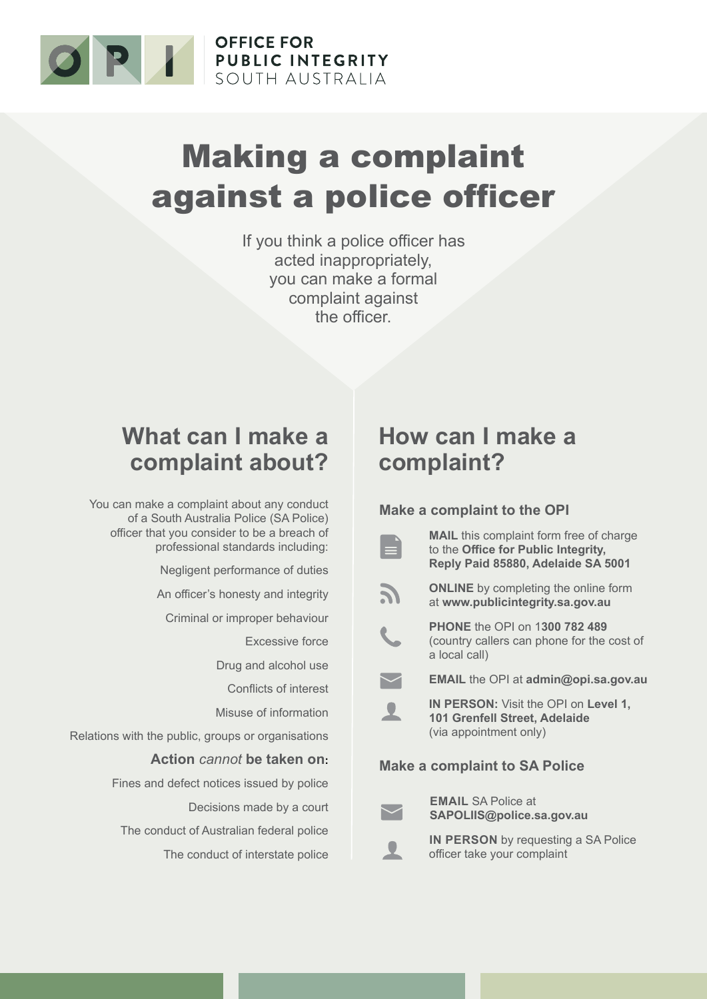

# Making a complaint against a police officer

If you think a police officer has acted inappropriately, you can make a formal complaint against the officer.

## **What can I make a complaint about?**

You can make a complaint about any conduct of a South Australia Police (SA Police) officer that you consider to be a breach of professional standards including:

Negligent performance of duties

An officer's honesty and integrity

Criminal or improper behaviour

Excessive force

Drug and alcohol use

Conflicts of interest

Misuse of information

Relations with the public, groups or organisations

#### **Action** *cannot* **be taken on:**

Fines and defect notices issued by police

Decisions made by a court

The conduct of Australian federal police The conduct of interstate police

## **How can I make a complaint?**

#### **Make a complaint to the OPI**



**MAIL** this complaint form free of charge to the **Office for Public Integrity, Reply Paid 85880, Adelaide SA 5001**

**ONLINE** by completing the online form at **www.publicintegrity.sa.gov.au**

**PHONE** the OPI on 1**300 782 489** (country callers can phone for the cost of a local call)

**EMAIL** the OPI at **admin@opi.sa.gov.au**



**IN PERSON:** Visit the OPI on **Level 1, 101 Grenfell Street, Adelaide**  (via appointment only)

#### **Make a complaint to SA Police**



**EMAIL** SA Police at **SAPOLIIS@police.sa.gov.au** 

**IN PERSON** by requesting a SA Police officer take your complaint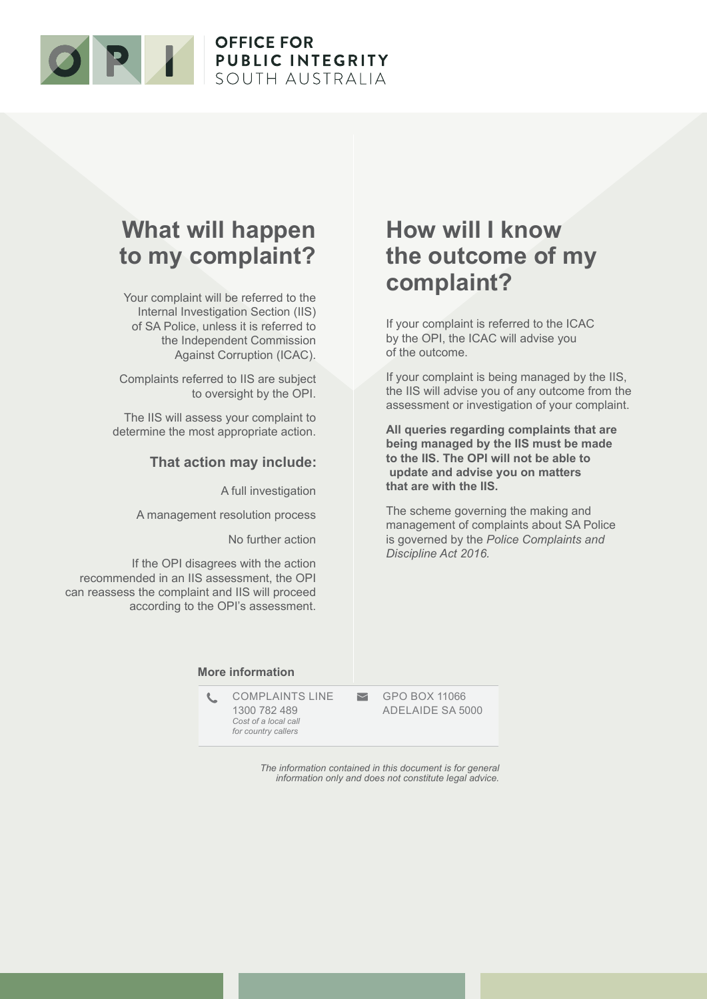

### **What will happen to my complaint?**

Your complaint will be referred to the Internal Investigation Section (IIS) of SA Police, unless it is referred to the Independent Commission Against Corruption (ICAC).

Complaints referred to IIS are subject to oversight by the OPI.

The IIS will assess your complaint to determine the most appropriate action.

#### **That action may include:**

A full investigation

A management resolution process

No further action

If the OPI disagrees with the action recommended in an IIS assessment, the OPI can reassess the complaint and IIS will proceed according to the OPI's assessment.

### **How will I know the outcome of my complaint?**

If your complaint is referred to the ICAC by the OPI, the ICAC will advise you of the outcome.

If your complaint is being managed by the IIS, the IIS will advise you of any outcome from the assessment or investigation of your complaint.

**All queries regarding complaints that are being managed by the IIS must be made to the IIS. The OPI will not be able to update and advise you on matters that are with the IIS.**

The scheme governing the making and management of complaints about SA Police is governed by the *Police Complaints and Discipline Act 2016.*

#### **More information**

COMPLAINTS LINE 1300 782 489 *Cost of a local call for country callers*

GPO BOX 11066 ADELAIDE SA 5000

*The information contained in this document is for general information only and does not constitute legal advice.*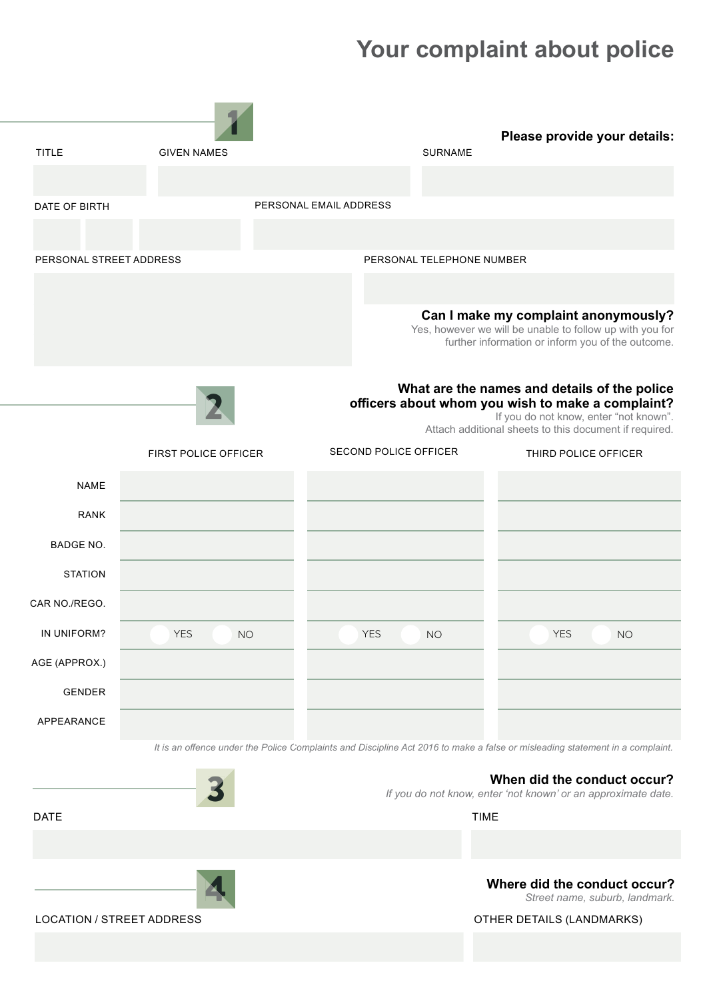## **Your complaint about police**

|                                  |                             | Please provide your details:                                                                                                 |
|----------------------------------|-----------------------------|------------------------------------------------------------------------------------------------------------------------------|
| <b>TITLE</b>                     | <b>GIVEN NAMES</b>          | <b>SURNAME</b>                                                                                                               |
|                                  |                             |                                                                                                                              |
| DATE OF BIRTH                    |                             | PERSONAL EMAIL ADDRESS                                                                                                       |
|                                  |                             |                                                                                                                              |
| PERSONAL STREET ADDRESS          |                             | PERSONAL TELEPHONE NUMBER                                                                                                    |
|                                  |                             |                                                                                                                              |
|                                  |                             | Can I make my complaint anonymously?                                                                                         |
|                                  |                             | Yes, however we will be unable to follow up with you for<br>further information or inform you of the outcome.                |
|                                  |                             |                                                                                                                              |
|                                  |                             | What are the names and details of the police                                                                                 |
|                                  |                             | officers about whom you wish to make a complaint?<br>If you do not know, enter "not known".                                  |
|                                  |                             | Attach additional sheets to this document if required.                                                                       |
|                                  | <b>FIRST POLICE OFFICER</b> | <b>SECOND POLICE OFFICER</b><br>THIRD POLICE OFFICER                                                                         |
| <b>NAME</b>                      |                             |                                                                                                                              |
| <b>RANK</b>                      |                             |                                                                                                                              |
| BADGE NO.                        |                             |                                                                                                                              |
| <b>STATION</b>                   |                             |                                                                                                                              |
| CAR NO./REGO.                    |                             |                                                                                                                              |
|                                  |                             |                                                                                                                              |
| IN UNIFORM?                      | <b>YES</b><br><b>NO</b>     | <b>YES</b><br><b>YES</b><br><b>NO</b><br><b>NO</b>                                                                           |
| AGE (APPROX.)                    |                             |                                                                                                                              |
| <b>GENDER</b>                    |                             |                                                                                                                              |
| APPEARANCE                       |                             |                                                                                                                              |
|                                  |                             | It is an offence under the Police Complaints and Discipline Act 2016 to make a false or misleading statement in a complaint. |
|                                  |                             | When did the conduct occur?                                                                                                  |
|                                  |                             | If you do not know, enter 'not known' or an approximate date.                                                                |
| <b>DATE</b>                      |                             | <b>TIME</b>                                                                                                                  |
|                                  |                             |                                                                                                                              |
|                                  |                             | Where did the conduct occur?                                                                                                 |
| <b>LOCATION / STREET ADDRESS</b> |                             | Street name, suburb, landmark.<br>OTHER DETAILS (LANDMARKS)                                                                  |
|                                  |                             |                                                                                                                              |
|                                  |                             |                                                                                                                              |